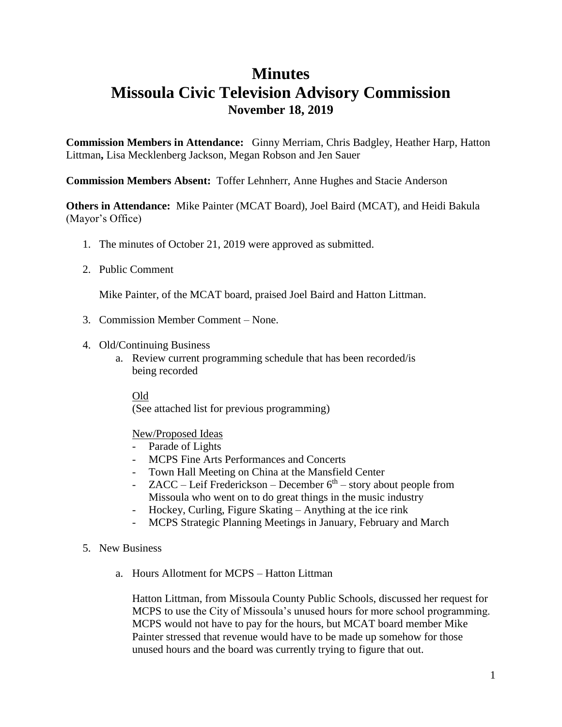### **Minutes**

## **Missoula Civic Television Advisory Commission November 18, 2019**

**Commission Members in Attendance:** Ginny Merriam, Chris Badgley, Heather Harp, Hatton Littman**,** Lisa Mecklenberg Jackson, Megan Robson and Jen Sauer

**Commission Members Absent:** Toffer Lehnherr, Anne Hughes and Stacie Anderson

**Others in Attendance:** Mike Painter (MCAT Board), Joel Baird (MCAT), and Heidi Bakula (Mayor's Office)

- 1. The minutes of October 21, 2019 were approved as submitted.
- 2. Public Comment

Mike Painter, of the MCAT board, praised Joel Baird and Hatton Littman.

- 3. Commission Member Comment None.
- 4. Old/Continuing Business
	- a. Review current programming schedule that has been recorded/is being recorded

Old (See attached list for previous programming)

#### New/Proposed Ideas

- Parade of Lights
- MCPS Fine Arts Performances and Concerts
- Town Hall Meeting on China at the Mansfield Center
- $ZACC Leif Frederickson December 6<sup>th</sup> story about people from$ Missoula who went on to do great things in the music industry
- Hockey, Curling, Figure Skating Anything at the ice rink
- MCPS Strategic Planning Meetings in January, February and March
- 5. New Business
	- a. Hours Allotment for MCPS Hatton Littman

Hatton Littman, from Missoula County Public Schools, discussed her request for MCPS to use the City of Missoula's unused hours for more school programming. MCPS would not have to pay for the hours, but MCAT board member Mike Painter stressed that revenue would have to be made up somehow for those unused hours and the board was currently trying to figure that out.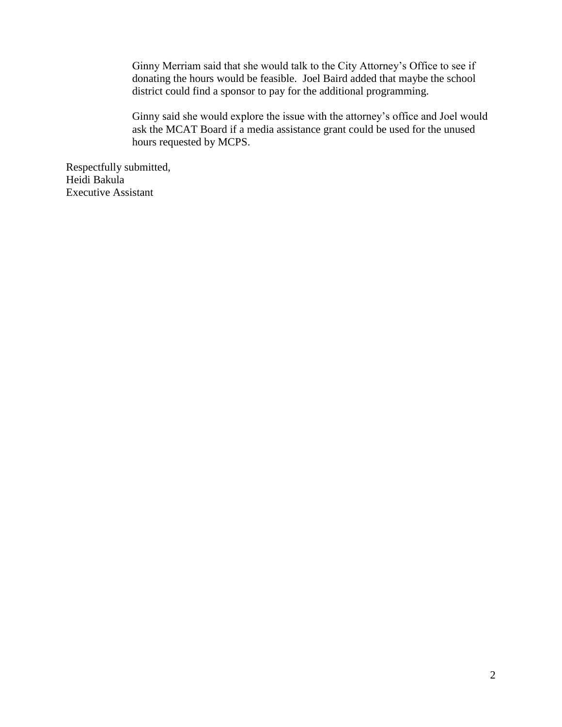Ginny Merriam said that she would talk to the City Attorney's Office to see if donating the hours would be feasible. Joel Baird added that maybe the school district could find a sponsor to pay for the additional programming.

Ginny said she would explore the issue with the attorney's office and Joel would ask the MCAT Board if a media assistance grant could be used for the unused hours requested by MCPS.

Respectfully submitted, Heidi Bakula Executive Assistant